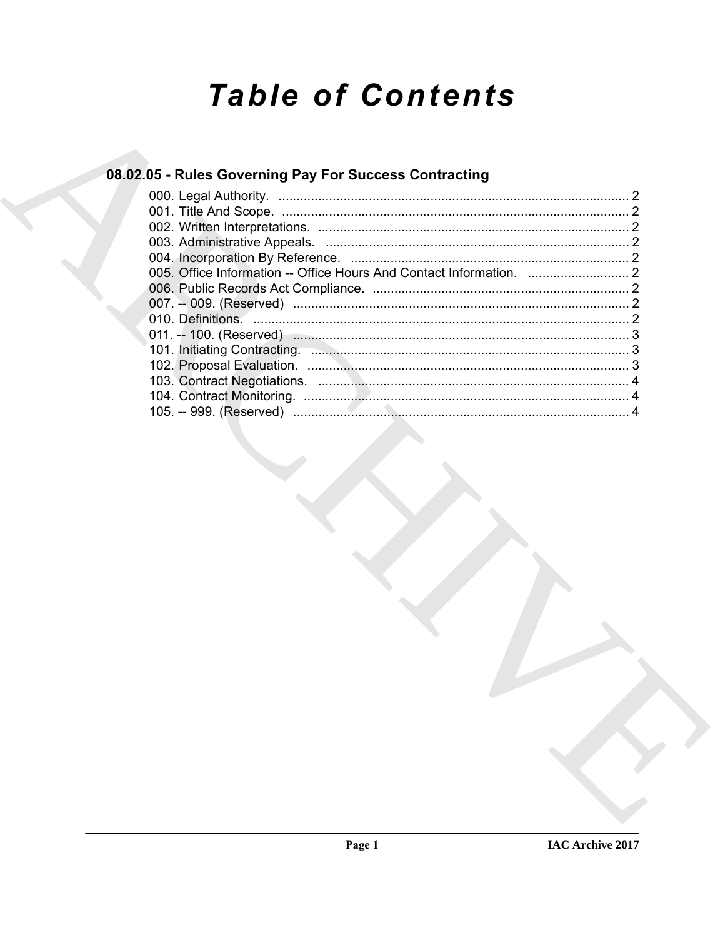# **Table of Contents**

# 08.02.05 - Rules Governing Pay For Success Contracting

| 101. Initiating Contracting. <b>Example 2018</b> 101. Initiative 3 |  |
|--------------------------------------------------------------------|--|
|                                                                    |  |
|                                                                    |  |
|                                                                    |  |
|                                                                    |  |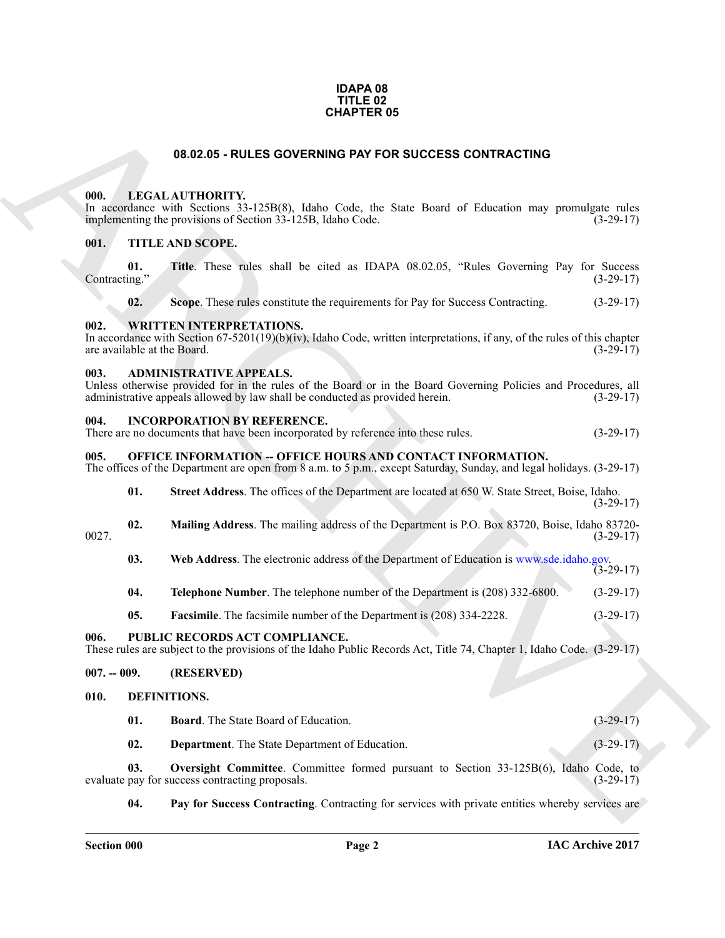#### **IDAPA 08 TITLE 02 CHAPTER 05**

#### **08.02.05 - RULES GOVERNING PAY FOR SUCCESS CONTRACTING**

#### <span id="page-1-1"></span><span id="page-1-0"></span>**000. LEGAL AUTHORITY.**

#### <span id="page-1-2"></span>**001. TITLE AND SCOPE.**

|               |  |  |  |  |  | Title. These rules shall be cited as IDAPA 08.02.05, "Rules Governing Pay for Success" |  |             |
|---------------|--|--|--|--|--|----------------------------------------------------------------------------------------|--|-------------|
| Contracting." |  |  |  |  |  |                                                                                        |  | $(3-29-17)$ |

#### <span id="page-1-3"></span>**002. WRITTEN INTERPRETATIONS.**

#### <span id="page-1-4"></span>**003. ADMINISTRATIVE APPEALS.**

#### <span id="page-1-5"></span>**004. INCORPORATION BY REFERENCE.**

| There are no documents that have been incorporated by reference into these rules. | $(3-29-17)$ |
|-----------------------------------------------------------------------------------|-------------|
|                                                                                   |             |

#### <span id="page-1-6"></span>005. OFFICE INFORMATION -- OFFICE HOURS AND CONTACT INFORMATION.

| <b>Street Address</b> . The offices of the Department are located at 650 W. State Street, Boise, Idaho. |  |             |
|---------------------------------------------------------------------------------------------------------|--|-------------|
|                                                                                                         |  | $(3-29-17)$ |

- **02. Mailing Address**. The mailing address of the Department is P.O. Box 83720, Boise, Idaho 83720- 0027. (3-29-17)
	- **03.** Web Address. The electronic address of the Department of Education is www.sde.idaho.gov. (3-29-17)
	- **04. Telephone Number**. The telephone number of the Department is (208) 332-6800. (3-29-17)
	- **05. Facsimile**. The facsimile number of the Department is (208) 334-2228. (3-29-17)

#### <span id="page-1-15"></span><span id="page-1-7"></span>**006. PUBLIC RECORDS ACT COMPLIANCE.**

#### <span id="page-1-8"></span>**007. -- 009. (RESERVED)**

#### <span id="page-1-14"></span><span id="page-1-13"></span><span id="page-1-12"></span><span id="page-1-11"></span><span id="page-1-10"></span><span id="page-1-9"></span>**010. DEFINITIONS.**

|               |                                                                                                                                                                                            | <b>CHAPTER 05</b>                                                                                                                                                                                                                |             |  |  |  |  |
|---------------|--------------------------------------------------------------------------------------------------------------------------------------------------------------------------------------------|----------------------------------------------------------------------------------------------------------------------------------------------------------------------------------------------------------------------------------|-------------|--|--|--|--|
|               |                                                                                                                                                                                            | 08.02.05 - RULES GOVERNING PAY FOR SUCCESS CONTRACTING                                                                                                                                                                           |             |  |  |  |  |
| 000.          |                                                                                                                                                                                            | LEGAL AUTHORITY.<br>In accordance with Sections 33-125B(8), Idaho Code, the State Board of Education may promulgate rules<br>implementing the provisions of Section 33-125B, Idaho Code.                                         | $(3-29-17)$ |  |  |  |  |
| 001.          |                                                                                                                                                                                            | TITLE AND SCOPE.                                                                                                                                                                                                                 |             |  |  |  |  |
| Contracting." | 01.                                                                                                                                                                                        | Title. These rules shall be cited as IDAPA 08.02.05, "Rules Governing Pay for Success                                                                                                                                            | $(3-29-17)$ |  |  |  |  |
|               | 02.                                                                                                                                                                                        | Scope. These rules constitute the requirements for Pay for Success Contracting.                                                                                                                                                  | $(3-29-17)$ |  |  |  |  |
| 002.          | are available at the Board.                                                                                                                                                                | <b>WRITTEN INTERPRETATIONS.</b><br>In accordance with Section 67-5201(19)(b)(iv), Idaho Code, written interpretations, if any, of the rules of this chapter                                                                      | $(3-29-17)$ |  |  |  |  |
| 003.          |                                                                                                                                                                                            | <b>ADMINISTRATIVE APPEALS.</b><br>Unless otherwise provided for in the rules of the Board or in the Board Governing Policies and Procedures, all<br>administrative appeals allowed by law shall be conducted as provided herein. | $(3-29-17)$ |  |  |  |  |
| 004.          |                                                                                                                                                                                            | <b>INCORPORATION BY REFERENCE.</b><br>There are no documents that have been incorporated by reference into these rules.                                                                                                          | $(3-29-17)$ |  |  |  |  |
| 005.          | <b>OFFICE INFORMATION -- OFFICE HOURS AND CONTACT INFORMATION.</b><br>The offices of the Department are open from 8 a.m. to 5 p.m., except Saturday, Sunday, and legal holidays. (3-29-17) |                                                                                                                                                                                                                                  |             |  |  |  |  |
|               | 01.                                                                                                                                                                                        | Street Address. The offices of the Department are located at 650 W. State Street, Boise, Idaho.                                                                                                                                  | $(3-29-17)$ |  |  |  |  |
| 0027.         | 02.                                                                                                                                                                                        | Mailing Address. The mailing address of the Department is P.O. Box 83720, Boise, Idaho 83720-                                                                                                                                    | $(3-29-17)$ |  |  |  |  |
|               | 03.                                                                                                                                                                                        | Web Address. The electronic address of the Department of Education is www.sde.idaho.gov.                                                                                                                                         | $(3-29-17)$ |  |  |  |  |
|               | 04.                                                                                                                                                                                        | Telephone Number. The telephone number of the Department is (208) 332-6800.                                                                                                                                                      | $(3-29-17)$ |  |  |  |  |
|               | 05.                                                                                                                                                                                        | <b>Facsimile.</b> The facsimile number of the Department is (208) 334-2228.                                                                                                                                                      | $(3-29-17)$ |  |  |  |  |
| 006.          |                                                                                                                                                                                            | PUBLIC RECORDS ACT COMPLIANCE.<br>These rules are subject to the provisions of the Idaho Public Records Act, Title 74, Chapter 1, Idaho Code. (3-29-17)                                                                          |             |  |  |  |  |
| $007. - 009.$ |                                                                                                                                                                                            | (RESERVED)                                                                                                                                                                                                                       |             |  |  |  |  |
| 010.          | DEFINITIONS.                                                                                                                                                                               |                                                                                                                                                                                                                                  |             |  |  |  |  |
|               | 01.                                                                                                                                                                                        | <b>Board</b> . The State Board of Education.                                                                                                                                                                                     | $(3-29-17)$ |  |  |  |  |
|               | 02.                                                                                                                                                                                        | Department. The State Department of Education.                                                                                                                                                                                   | $(3-29-17)$ |  |  |  |  |
|               | 03.                                                                                                                                                                                        | Oversight Committee. Committee formed pursuant to Section 33-125B(6), Idaho Code, to<br>evaluate pay for success contracting proposals.                                                                                          | $(3-29-17)$ |  |  |  |  |
|               | 04.                                                                                                                                                                                        | Pay for Success Contracting. Contracting for services with private entities whereby services are                                                                                                                                 |             |  |  |  |  |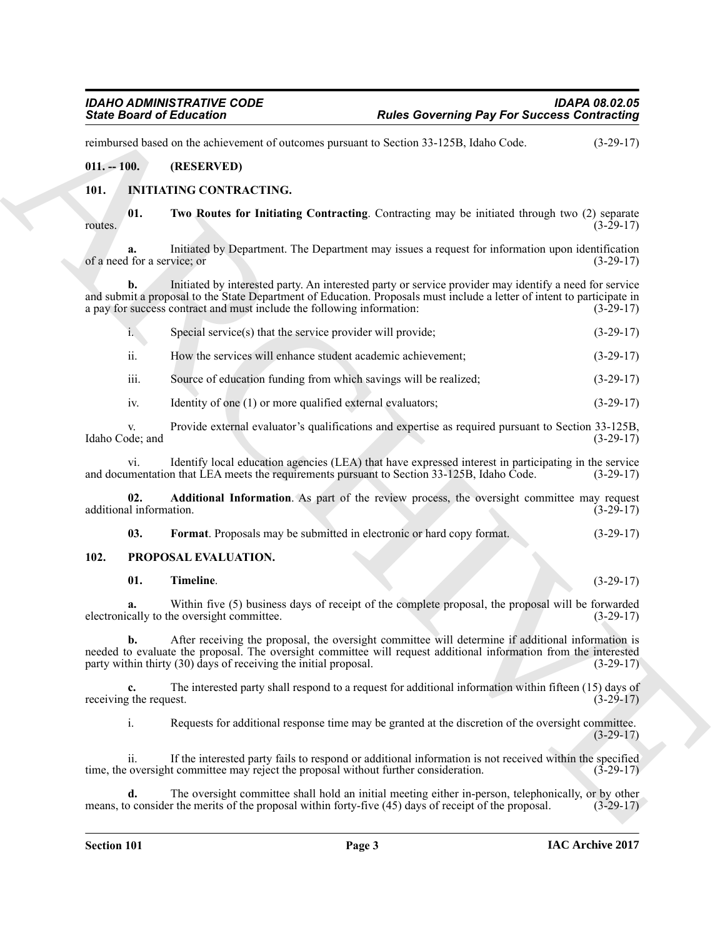reimbursed based on the achievement of outcomes pursuant to Section 33-125B, Idaho Code. (3-29-17)

#### <span id="page-2-0"></span>**011. -- 100. (RESERVED)**

### <span id="page-2-8"></span><span id="page-2-3"></span><span id="page-2-1"></span>**101. INITIATING CONTRACTING.**

**01.** Two Routes for Initiating Contracting. Contracting may be initiated through two (2) separate (3-29-17)  $r_0$  routes.  $(3-29-17)$ 

<span id="page-2-6"></span>**a.** Initiated by Department. The Department may issues a request for information upon identification (15-29-17) of a need for a service; or

**b.** Initiated by interested party. An interested party or service provider may identify a need for service and submit a proposal to the State Department of Education. Proposals must include a letter of intent to participate in a pay for success contract and must include the following information: (3-29-17) a pay for success contract and must include the following information:

<span id="page-2-7"></span>

| Special service(s) that the service provider will provide; | $(3-29-17)$ |
|------------------------------------------------------------|-------------|
|                                                            |             |

ii. How the services will enhance student academic achievement; (3-29-17)

iii. Source of education funding from which savings will be realized; (3-29-17)

iv. Identity of one (1) or more qualified external evaluators; (3-29-17)

v. Provide external evaluator's qualifications and expertise as required pursuant to Section 33-125B, vde; and (3-29-17) Idaho Code; and

vi. Identify local education agencies (LEA) that have expressed interest in participating in the service<br>mentation that LEA meets the requirements pursuant to Section 33-125B, Idaho Code. (3-29-17) and documentation that LEA meets the requirements pursuant to Section 33-125B, Idaho Code.

**02. Additional Information**. As part of the review process, the oversight committee may request il information. (3-29-17) additional information.

<span id="page-2-9"></span><span id="page-2-5"></span><span id="page-2-4"></span>**03. Format**. Proposals may be submitted in electronic or hard copy format. (3-29-17)

#### <span id="page-2-2"></span>**102. PROPOSAL EVALUATION.**

#### <span id="page-2-10"></span>**01. Timeline**. (3-29-17)

**a.** Within five (5) business days of receipt of the complete proposal, the proposal will be forwarded cally to the oversight committee. electronically to the oversight committee.

Sinks Board of References Contributions (Rules Governing Pay For Success Contributing<br>
entities of the activities contribution of the state of the state of the state of the state of the state of the state of the state of **b.** After receiving the proposal, the oversight committee will determine if additional information is needed to evaluate the proposal. The oversight committee will request additional information from the interested party within thirty (30) days of receiving the initial proposal. (3-29-17) party within thirty  $(30)$  days of receiving the initial proposal.

**c.** The interested party shall respond to a request for additional information within fifteen (15) days of receiving the request. (3-29-17)

i. Requests for additional response time may be granted at the discretion of the oversight committee.  $(3-29-17)$ 

ii. If the interested party fails to respond or additional information is not received within the specified oversight committee may reject the proposal without further consideration.  $(3-29-17)$ time, the oversight committee may reject the proposal without further consideration.

The oversight committee shall hold an initial meeting either in-person, telephonically, or by other r the merits of the proposal within forty-five (45) days of receipt of the proposal. (3-29-17) means, to consider the merits of the proposal within forty-five (45) days of receipt of the proposal.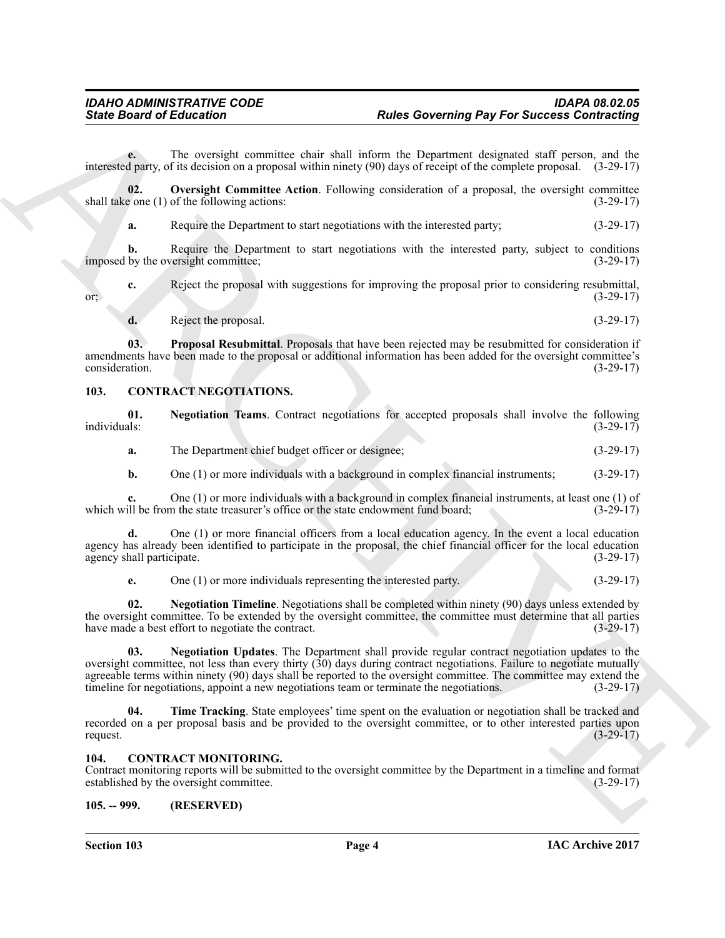**e.** The oversight committee chair shall inform the Department designated staff person, and the interested party, of its decision on a proposal within ninety (90) days of receipt of the complete proposal. (3-29-17)

**02. Oversight Committee Action**. Following consideration of a proposal, the oversight committee shall take one (1) of the following actions: (3-29-17)

<span id="page-3-9"></span>**a.** Require the Department to start negotiations with the interested party; (3-29-17)

**b.** Require the Department to start negotiations with the interested party, subject to conditions by the oversight committee; (3-29-17) imposed by the oversight committee;

**c.** Reject the proposal with suggestions for improving the proposal prior to considering resubmittal,  $(3-29-17)$ or;  $(3-29-17)$ 

<span id="page-3-10"></span>**d.** Reject the proposal. (3-29-17)

**03. Proposal Resubmittal**. Proposals that have been rejected may be resubmitted for consideration if amendments have been made to the proposal or additional information has been added for the oversight committee's consideration. (3-29-17) consideration. (3-29-17)

#### <span id="page-3-4"></span><span id="page-3-0"></span>**103. CONTRACT NEGOTIATIONS.**

**01.** Negotiation Teams. Contract negotiations for accepted proposals shall involve the following individuals: (3-29-17) individuals: (3-29-17)

<span id="page-3-5"></span>**a.** The Department chief budget officer or designee; (3-29-17)

**b.** One (1) or more individuals with a background in complex financial instruments; (3-29-17)

**c.** One (1) or more individuals with a background in complex financial instruments, at least one (1) of ill be from the state treasurer's office or the state endowment fund board:  $(3-29-17)$ which will be from the state treasurer's office or the state endowment fund board;

**d.** One (1) or more financial officers from a local education agency. In the event a local education agency has already been identified to participate in the proposal, the chief financial officer for the local education agency shall participate. (3-29-17) agency shall participate.

<span id="page-3-7"></span><span id="page-3-6"></span>**e.** One (1) or more individuals representing the interested party. (3-29-17)

**02. Negotiation Timeline**. Negotiations shall be completed within ninety (90) days unless extended by the oversight committee. To be extended by the oversight committee, the committee must determine that all parties have made a best effort to negotiate the contract. have made a best effort to negotiate the contract.

Sinks Board of Enforcement Commute case also above the popular and particular interesting the consistent of the constraints of the systems of the systems of the constraints of the systems of the systems of the systems of **03. Negotiation Updates**. The Department shall provide regular contract negotiation updates to the oversight committee, not less than every thirty (30) days during contract negotiations. Failure to negotiate mutually agreeable terms within ninety (90) days shall be reported to the oversight committee. The committee may extend the timeline for negotiations, appoint a new negotiations team or terminate the negotiations. (3-29-17) timeline for negotiations, appoint a new negotiations team or terminate the negotiations.

<span id="page-3-8"></span>**04.** Time Tracking. State employees' time spent on the evaluation or negotiation shall be tracked and recorded on a per proposal basis and be provided to the oversight committee, or to other interested parties upon request. request.  $(3-29-17)$ 

#### <span id="page-3-3"></span><span id="page-3-1"></span>**104. CONTRACT MONITORING.**

Contract monitoring reports will be submitted to the oversight committee by the Department in a timeline and format established by the oversight committee. (3-29-17) established by the oversight committee.

#### <span id="page-3-2"></span>**105. -- 999. (RESERVED)**